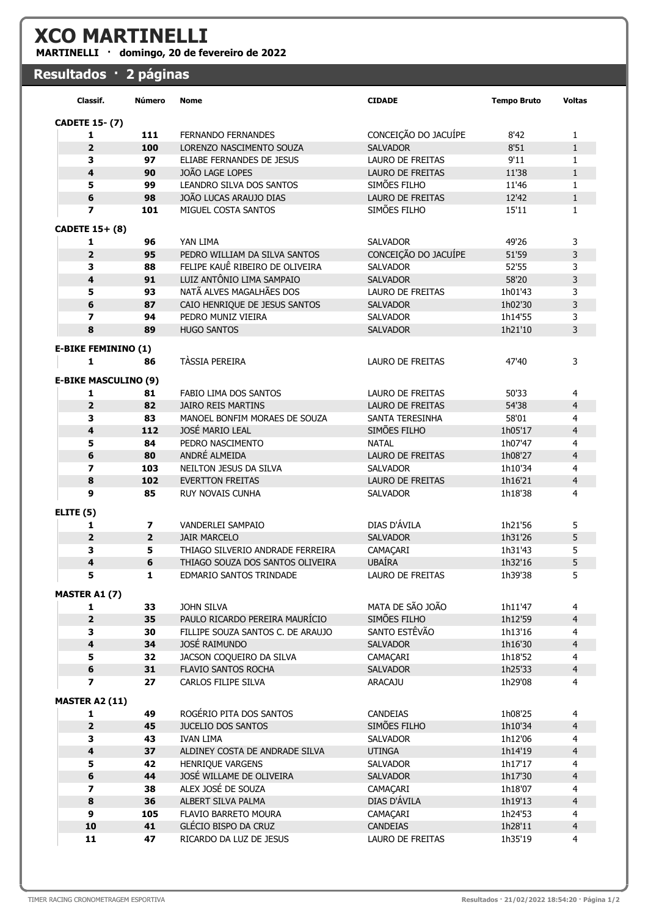## XCO MARTINELLI

MARTINELLI · domingo, 20 de fevereiro de 2022

## Resultados · 2 páginas

| Classif.                     | Número         | <b>Nome</b>                                        | <b>CIDADE</b>           | <b>Tempo Bruto</b> | <b>Voltas</b>                |
|------------------------------|----------------|----------------------------------------------------|-------------------------|--------------------|------------------------------|
| <b>CADETE 15-(7)</b>         |                |                                                    |                         |                    |                              |
| 1                            | 111            | <b>FERNANDO FERNANDES</b>                          | CONCEIÇÃO DO JACUÍPE    | 8'42               | 1                            |
| $\overline{2}$               | 100            | LORENZO NASCIMENTO SOUZA                           | <b>SALVADOR</b>         | 8'51               | $\mathbf{1}$                 |
| з                            | 97             | ELIABE FERNANDES DE JESUS                          | <b>LAURO DE FREITAS</b> | 9'11               | $\mathbf{1}$                 |
| 4                            | 90             | JOÃO LAGE LOPES                                    | LAURO DE FREITAS        | 11'38              | $\mathbf{1}$                 |
| 5                            | 99             | LEANDRO SILVA DOS SANTOS                           | SIMÕES FILHO            | 11'46              | 1                            |
| 6                            | 98             | JOÃO LUCAS ARAUJO DIAS                             | LAURO DE FREITAS        | 12'42              | $\mathbf{1}$                 |
| $\overline{ }$               | 101            | MIGUEL COSTA SANTOS                                | SIMÕES FILHO            | 15'11              | $\mathbf{1}$                 |
| <b>CADETE 15+ (8)</b>        |                |                                                    |                         |                    |                              |
| 1                            | 96             | YAN LIMA                                           | <b>SALVADOR</b>         | 49'26              | 3                            |
| $\overline{\mathbf{2}}$      | 95             | PEDRO WILLIAM DA SILVA SANTOS                      | CONCEIÇÃO DO JACUÍPE    | 51'59              | 3                            |
| 3                            | 88             | FELIPE KAUÊ RIBEIRO DE OLIVEIRA                    | <b>SALVADOR</b>         | 52'55              | 3                            |
| 4                            | 91             | LUIZ ANTÔNIO LIMA SAMPAIO                          | <b>SALVADOR</b>         | 58'20              | 3                            |
| 5                            | 93             | NATÃ ALVES MAGALHÃES DOS                           | LAURO DE FREITAS        | 1h01'43            | 3                            |
| 6                            | 87             | CAIO HENRIQUE DE JESUS SANTOS                      | <b>SALVADOR</b>         | 1h02'30            | 3                            |
| 7                            | 94             | PEDRO MUNIZ VIEIRA                                 | <b>SALVADOR</b>         | 1h14'55            | 3                            |
| 8                            | 89             | <b>HUGO SANTOS</b>                                 | <b>SALVADOR</b>         | 1h21'10            | 3                            |
|                              |                |                                                    |                         |                    |                              |
| <b>E-BIKE FEMININO (1)</b>   |                | <b>TÀSSIA PEREIRA</b>                              |                         |                    |                              |
| $\mathbf{1}$                 | 86             |                                                    | <b>LAURO DE FREITAS</b> | 47'40              | 3                            |
| <b>E-BIKE MASCULINO (9)</b>  |                |                                                    |                         |                    |                              |
| 1                            | 81             | FABIO LIMA DOS SANTOS                              | <b>LAURO DE FREITAS</b> | 50'33              | 4                            |
| $\overline{2}$               | 82             | <b>JAIRO REIS MARTINS</b>                          | LAURO DE FREITAS        | 54'38              | $\overline{4}$               |
| 3                            | 83             | MANOEL BONFIM MORAES DE SOUZA                      | <b>SANTA TERESINHA</b>  | 58'01              | 4                            |
| 4                            | 112            | JOSÉ MARIO LEAL                                    | SIMÕES FILHO            | 1h05'17            | $\overline{4}$               |
| 5                            | 84             | PEDRO NASCIMENTO                                   | <b>NATAL</b>            | 1h07'47            | 4                            |
| 6                            | 80             | ANDRÉ ALMEIDA                                      | LAURO DE FREITAS        | 1h08'27            | $\overline{4}$               |
| $\overline{\phantom{a}}$     | 103            | NEILTON JESUS DA SILVA                             | <b>SALVADOR</b>         | 1h10'34            | 4                            |
| 8                            | 102            | <b>EVERTTON FREITAS</b>                            | LAURO DE FREITAS        | 1h16'21            | $\overline{4}$               |
| 9                            | 85             | <b>RUY NOVAIS CUNHA</b>                            | <b>SALVADOR</b>         | 1h18'38            | 4                            |
| ELITE <sub>(5)</sub>         |                |                                                    |                         |                    |                              |
| 1                            | 7              | VANDERLEI SAMPAIO                                  | DIAS D'ÁVILA            | 1h21'56            | 5                            |
| $\overline{2}$               | $\overline{2}$ | <b>JAIR MARCELO</b>                                | <b>SALVADOR</b>         | 1h31'26            | 5                            |
| 3                            | 5              | THIAGO SILVERIO ANDRADE FERREIRA                   | CAMAÇARI                | 1h31'43            | 5                            |
| 4                            | 6              | THIAGO SOUZA DOS SANTOS OLIVEIRA                   | <b>UBAÍRA</b>           | 1h32'16            | 5                            |
|                              | 1              | EDMARIO SANTOS TRINDADE                            | LAURO DE FREITAS        | 1h39'38            | 5                            |
|                              |                |                                                    |                         |                    |                              |
| MASTER A1 (7)<br>1           | 33             | JOHN SILVA                                         | MATA DE SÃO JOÃO        | 1h11'47            | 4                            |
| $\mathbf{2}$                 | 35             | PAULO RICARDO PEREIRA MAURÍCIO                     | SIMÕES FILHO            | 1h12'59            | $\overline{4}$               |
|                              |                |                                                    | SANTO ESTÊVÃO           |                    |                              |
| 3<br>$\overline{\mathbf{4}}$ | 30<br>34       | FILLIPE SOUZA SANTOS C. DE ARAUJO<br>JOSÉ RAIMUNDO | <b>SALVADOR</b>         | 1h13'16<br>1h16'30 | $\overline{4}$               |
| 5                            | 32             | JACSON COQUEIRO DA SILVA                           | CAMAÇARI                | 1h18'52            | $\overline{\mathbf{r}}$<br>4 |
| $\bf 6$                      | 31             | FLAVIO SANTOS ROCHA                                |                         | 1h25'33            | $\overline{4}$               |
| $\overline{\phantom{a}}$     | 27             | CARLOS FILIPE SILVA                                | SALVADOR<br>ARACAJU     | 1h29'08            | 4                            |
|                              |                |                                                    |                         |                    |                              |
| <b>MASTER A2 (11)</b>        |                |                                                    |                         |                    |                              |
| 1                            | 49             | ROGÉRIO PITA DOS SANTOS                            | <b>CANDEIAS</b>         | 1h08'25            | 4                            |
| $\mathbf{2}$                 | 45             | JUCELIO DOS SANTOS                                 | SIMÕES FILHO            | 1h10'34            | $\overline{4}$               |
| 3                            | 43             | <b>IVAN LIMA</b>                                   | <b>SALVADOR</b>         | 1h12'06            | 4                            |
| $\overline{\mathbf{4}}$      | 37             | ALDINEY COSTA DE ANDRADE SILVA                     | <b>UTINGA</b>           | 1h14'19            | $\overline{4}$               |
| 5                            | 42             | HENRIQUE VARGENS                                   | <b>SALVADOR</b>         | 1h17'17            | 4                            |
| 6                            | 44             | JOSÉ WILLAME DE OLIVEIRA                           | <b>SALVADOR</b>         | 1h17'30            | $\overline{4}$               |
| $\overline{\mathbf{z}}$      | 38             | ALEX JOSÉ DE SOUZA                                 | CAMAÇARI                | 1h18'07            | 4                            |
| 8                            | 36             | ALBERT SILVA PALMA                                 | DIAS D'ÁVILA            | 1h19'13            | $\overline{4}$               |
| 9                            | 105            | FLAVIO BARRETO MOURA                               | CAMAÇARI                | 1h24'53            | 4                            |
| 10                           | 41             | GLÉCIO BISPO DA CRUZ                               | CANDEIAS                | 1h28'11            | $\overline{4}$               |
| 11                           | 47             | RICARDO DA LUZ DE JESUS                            | LAURO DE FREITAS        | 1h35'19            | 4                            |